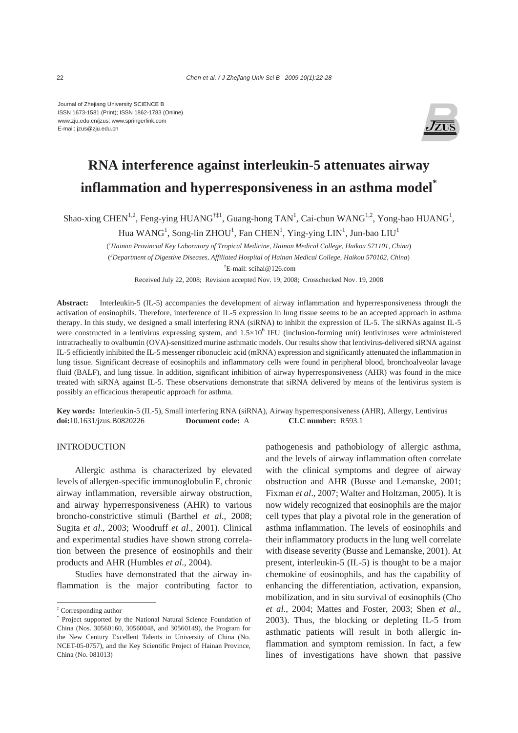Journal of Zhejiang University SCIENCE B ISSN 1673-1581 (Print); ISSN 1862-1783 (Online) www.zju.edu.cn/jzus; www.springerlink.com E-mail: jzus@zju.edu.cn



# **RNA interference against interleukin-5 attenuates airway inflammation and hyperresponsiveness in an asthma model\***

Shao-xing CHEN<sup>1,2</sup>, Feng-ying HUANG<sup>†‡1</sup>, Guang-hong TAN<sup>1</sup>, Cai-chun WANG<sup>1,2</sup>, Yong-hao HUANG<sup>1</sup>,

Hua WANG<sup>1</sup>, Song-lin ZHOU<sup>1</sup>, Fan CHEN<sup>1</sup>, Ying-ying LIN<sup>1</sup>, Jun-bao LIU<sup>1</sup>

( *1 Hainan Provincial Key Laboratory of Tropical Medicine, Hainan Medical College, Haikou 571101, China*) ( *2 Department of Digestive Diseases, Affiliated Hospital of Hainan Medical College, Haikou 570102, China*) † E-mail: scihai@126.com

Received July 22, 2008; Revision accepted Nov. 19, 2008; Crosschecked Nov. 19, 2008

**Abstract:** Interleukin-5 (IL-5) accompanies the development of airway inflammation and hyperresponsiveness through the activation of eosinophils. Therefore, interference of IL-5 expression in lung tissue seems to be an accepted approach in asthma therapy. In this study, we designed a small interfering RNA (siRNA) to inhibit the expression of IL-5. The siRNAs against IL-5 were constructed in a lentivirus expressing system, and  $1.5 \times 10^6$  IFU (inclusion-forming unit) lentiviruses were administered intratracheally to ovalbumin (OVA)-sensitized murine asthmatic models. Our results show that lentivirus-delivered siRNA against IL-5 efficiently inhibited the IL-5 messenger ribonucleic acid (mRNA) expression and significantly attenuated the inflammation in lung tissue. Significant decrease of eosinophils and inflammatory cells were found in peripheral blood, bronchoalveolar lavage fluid (BALF), and lung tissue. In addition, significant inhibition of airway hyperresponsiveness (AHR) was found in the mice treated with siRNA against IL-5. These observations demonstrate that siRNA delivered by means of the lentivirus system is possibly an efficacious therapeutic approach for asthma.

**Key words:** Interleukin-5 (IL-5), Small interfering RNA (siRNA), Airway hyperresponsiveness (AHR), Allergy, Lentivirus **doi:**10.1631/jzus.B0820226 **Document code:** A **CLC number:** R593.1

## **INTRODUCTION**

Allergic asthma is characterized by elevated levels of allergen-specific immunoglobulin E, chronic airway inflammation, reversible airway obstruction, and airway hyperresponsiveness (AHR) to various broncho-constrictive stimuli (Barthel *et al*., 2008; Sugita *et al*., 2003; Woodruff *et al*., 2001). Clinical and experimental studies have shown strong correlation between the presence of eosinophils and their products and AHR (Humbles *et al*., 2004).

Studies have demonstrated that the airway inflammation is the major contributing factor to pathogenesis and pathobiology of allergic asthma, and the levels of airway inflammation often correlate with the clinical symptoms and degree of airway obstruction and AHR (Busse and Lemanske, 2001; Fixman *et al*., 2007; Walter and Holtzman, 2005). It is now widely recognized that eosinophils are the major cell types that play a pivotal role in the generation of asthma inflammation. The levels of eosinophils and their inflammatory products in the lung well correlate with disease severity (Busse and Lemanske, 2001). At present, interleukin-5 (IL-5) is thought to be a major chemokine of eosinophils, and has the capability of enhancing the differentiation, activation, expansion, mobilization, and in situ survival of eosinophils (Cho *et al*., 2004; Mattes and Foster, 2003; Shen *et al*., 2003). Thus, the blocking or depleting IL-5 from asthmatic patients will result in both allergic inflammation and symptom remission. In fact, a few lines of investigations have shown that passive

<sup>‡</sup> Corresponding author

<sup>\*</sup> Project supported by the National Natural Science Foundation of China (Nos. 30560160, 30560048, and 30560149), the Program for the New Century Excellent Talents in University of China (No. NCET-05-0757), and the Key Scientific Project of Hainan Province, China (No. 081013)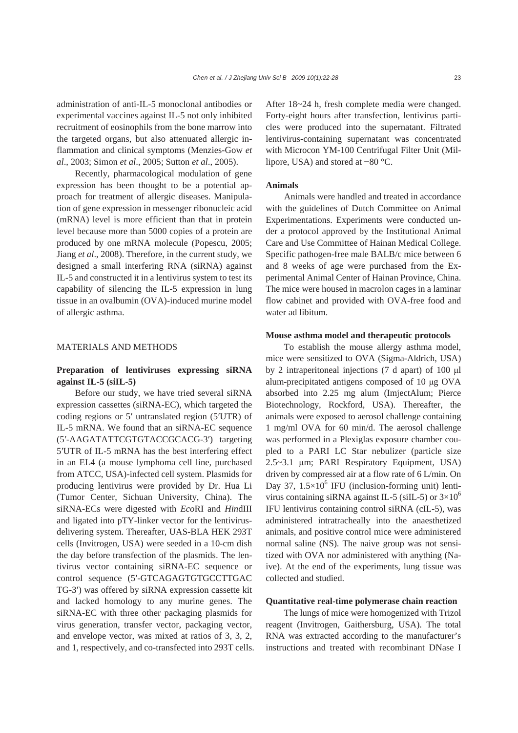administration of anti-IL-5 monoclonal antibodies or experimental vaccines against IL-5 not only inhibited recruitment of eosinophils from the bone marrow into the targeted organs, but also attenuated allergic inflammation and clinical symptoms (Menzies-Gow *et al*., 2003; Simon *et al*., 2005; Sutton *et al*., 2005).

Recently, pharmacological modulation of gene expression has been thought to be a potential approach for treatment of allergic diseases. Manipulation of gene expression in messenger ribonucleic acid (mRNA) level is more efficient than that in protein level because more than 5000 copies of a protein are produced by one mRNA molecule (Popescu, 2005; Jiang *et al*., 2008). Therefore, in the current study, we designed a small interfering RNA (siRNA) against IL-5 and constructed it in a lentivirus system to test its capability of silencing the IL-5 expression in lung tissue in an ovalbumin (OVA)-induced murine model of allergic asthma.

## MATERIALS AND METHODS

# **Preparation of lentiviruses expressing siRNA against IL-5 (siIL-5)**

Before our study, we have tried several siRNA expression cassettes (siRNA-EC), which targeted the coding regions or 5′ untranslated region (5′UTR) of IL-5 mRNA. We found that an siRNA-EC sequence (5′-AAGATATTCGTGTACCGCACG-3′) targeting 5′UTR of IL-5 mRNA has the best interfering effect in an EL4 (a mouse lymphoma cell line, purchased from ATCC, USA)-infected cell system. Plasmids for producing lentivirus were provided by Dr. Hua Li (Tumor Center, Sichuan University, China). The siRNA-ECs were digested with *Eco*RI and *Hin*dIII and ligated into pTY-linker vector for the lentivirusdelivering system. Thereafter, UAS-BLA HEK 293T cells (Invitrogen, USA) were seeded in a 10-cm dish the day before transfection of the plasmids. The lentivirus vector containing siRNA-EC sequence or control sequence (5′-GTCAGAGTGTGCCTTGAC TG-3′) was offered by siRNA expression cassette kit and lacked homology to any murine genes. The siRNA-EC with three other packaging plasmids for virus generation, transfer vector, packaging vector, and envelope vector, was mixed at ratios of 3, 3, 2, and 1, respectively, and co-transfected into 293T cells. After 18~24 h, fresh complete media were changed. Forty-eight hours after transfection, lentivirus particles were produced into the supernatant. Filtrated lentivirus-containing supernatant was concentrated with Microcon YM-100 Centrifugal Filter Unit (Millipore, USA) and stored at −80 °C.

#### **Animals**

Animals were handled and treated in accordance with the guidelines of Dutch Committee on Animal Experimentations. Experiments were conducted under a protocol approved by the Institutional Animal Care and Use Committee of Hainan Medical College. Specific pathogen-free male BALB/c mice between 6 and 8 weeks of age were purchased from the Experimental Animal Center of Hainan Province, China. The mice were housed in macrolon cages in a laminar flow cabinet and provided with OVA-free food and water ad libitum.

#### **Mouse asthma model and therapeutic protocols**

To establish the mouse allergy asthma model, mice were sensitized to OVA (Sigma-Aldrich, USA) by 2 intraperitoneal injections (7 d apart) of 100 μl alum-precipitated antigens composed of 10 μg OVA absorbed into 2.25 mg alum (ImjectAlum; Pierce Biotechnology, Rockford, USA). Thereafter, the animals were exposed to aerosol challenge containing 1 mg/ml OVA for 60 min/d. The aerosol challenge was performed in a Plexiglas exposure chamber coupled to a PARI LC Star nebulizer (particle size 2.5~3.1 μm; PARI Respiratory Equipment, USA) driven by compressed air at a flow rate of 6 L/min. On Day 37,  $1.5 \times 10^6$  IFU (inclusion-forming unit) lentivirus containing siRNA against IL-5 (siIL-5) or  $3\times10^6$ IFU lentivirus containing control siRNA (cIL-5), was administered intratracheally into the anaesthetized animals, and positive control mice were administered normal saline (NS). The naive group was not sensitized with OVA nor administered with anything (Naive). At the end of the experiments, lung tissue was collected and studied.

## **Quantitative real-time polymerase chain reaction**

The lungs of mice were homogenized with Trizol reagent (Invitrogen, Gaithersburg, USA). The total RNA was extracted according to the manufacturer's instructions and treated with recombinant DNase I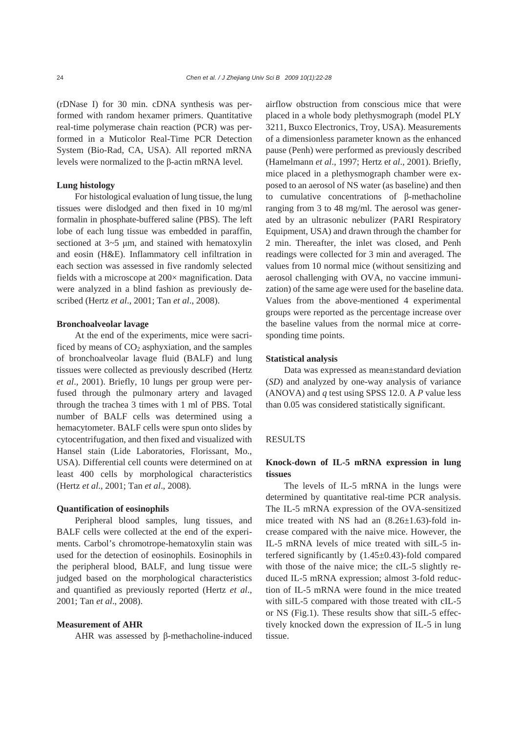(rDNase I) for 30 min. cDNA synthesis was performed with random hexamer primers. Quantitative real-time polymerase chain reaction (PCR) was performed in a Muticolor Real-Time PCR Detection System (Bio-Rad, CA, USA). All reported mRNA levels were normalized to the β-actin mRNA level.

#### **Lung histology**

For histological evaluation of lung tissue, the lung tissues were dislodged and then fixed in 10 mg/ml formalin in phosphate-buffered saline (PBS). The left lobe of each lung tissue was embedded in paraffin, sectioned at 3~5 μm, and stained with hematoxylin and eosin (H&E). Inflammatory cell infiltration in each section was assessed in five randomly selected fields with a microscope at  $200 \times$  magnification. Data were analyzed in a blind fashion as previously described (Hertz *et al*., 2001; Tan *et al*., 2008).

#### **Bronchoalveolar lavage**

At the end of the experiments, mice were sacrificed by means of  $CO<sub>2</sub>$  asphyxiation, and the samples of bronchoalveolar lavage fluid (BALF) and lung tissues were collected as previously described (Hertz *et al*., 2001). Briefly, 10 lungs per group were perfused through the pulmonary artery and lavaged through the trachea 3 times with 1 ml of PBS. Total number of BALF cells was determined using a hemacytometer. BALF cells were spun onto slides by cytocentrifugation, and then fixed and visualized with Hansel stain (Lide Laboratories, Florissant, Mo., USA). Differential cell counts were determined on at least 400 cells by morphological characteristics (Hertz *et al*., 2001; Tan *et al*., 2008).

## **Quantification of eosinophils**

Peripheral blood samples, lung tissues, and BALF cells were collected at the end of the experiments. Carbol's chromotrope-hematoxylin stain was used for the detection of eosinophils. Eosinophils in the peripheral blood, BALF, and lung tissue were judged based on the morphological characteristics and quantified as previously reported (Hertz *et al*., 2001; Tan *et al*., 2008).

## **Measurement of AHR**

AHR was assessed by β-methacholine-induced

airflow obstruction from conscious mice that were placed in a whole body plethysmograph (model PLY 3211, Buxco Electronics, Troy, USA). Measurements of a dimensionless parameter known as the enhanced pause (Penh) were performed as previously described (Hamelmann *et al*., 1997; Hertz e*t al*., 2001). Briefly, mice placed in a plethysmograph chamber were exposed to an aerosol of NS water (as baseline) and then to cumulative concentrations of β-methacholine ranging from 3 to 48 mg/ml. The aerosol was generated by an ultrasonic nebulizer (PARI Respiratory Equipment, USA) and drawn through the chamber for 2 min. Thereafter, the inlet was closed, and Penh readings were collected for 3 min and averaged. The values from 10 normal mice (without sensitizing and aerosol challenging with OVA, no vaccine immunization) of the same age were used for the baseline data. Values from the above-mentioned 4 experimental groups were reported as the percentage increase over the baseline values from the normal mice at corresponding time points.

#### **Statistical analysis**

Data was expressed as mean±standard deviation (*SD*) and analyzed by one-way analysis of variance (ANOVA) and *q* test using SPSS 12.0. A *P* value less than 0.05 was considered statistically significant.

#### RESULTS

# **Knock-down of IL-5 mRNA expression in lung tissues**

The levels of IL-5 mRNA in the lungs were determined by quantitative real-time PCR analysis. The IL-5 mRNA expression of the OVA-sensitized mice treated with NS had an  $(8.26 \pm 1.63)$ -fold increase compared with the naive mice. However, the IL-5 mRNA levels of mice treated with siIL-5 interfered significantly by (1.45±0.43)-fold compared with those of the naive mice; the cIL-5 slightly reduced IL-5 mRNA expression; almost 3-fold reduction of IL-5 mRNA were found in the mice treated with siIL-5 compared with those treated with cIL-5 or NS (Fig.1). These results show that siIL-5 effectively knocked down the expression of IL-5 in lung tissue.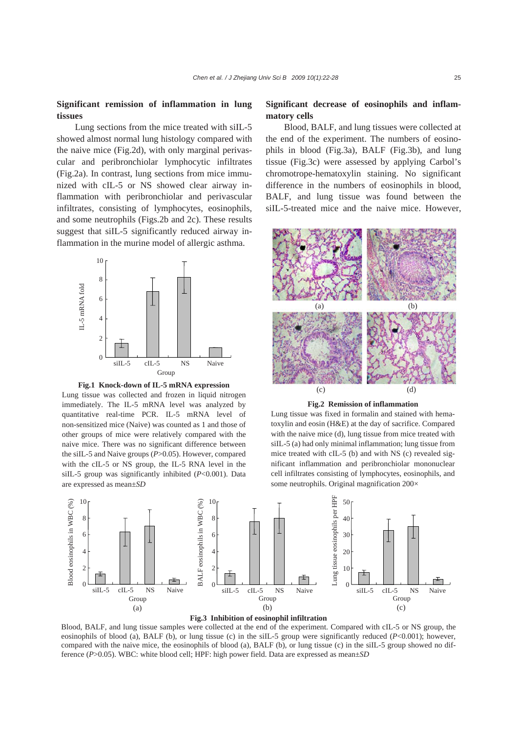# **Significant remission of inflammation in lung tissues**

Lung sections from the mice treated with siIL-5 showed almost normal lung histology compared with the naive mice (Fig.2d), with only marginal perivascular and peribronchiolar lymphocytic infiltrates (Fig.2a). In contrast, lung sections from mice immunized with cIL-5 or NS showed clear airway inflammation with peribronchiolar and perivascular infiltrates, consisting of lymphocytes, eosinophils, and some neutrophils (Figs.2b and 2c). These results suggest that siIL-5 significantly reduced airway inflammation in the murine model of allergic asthma.



**Fig.1 Knock-down of IL-5 mRNA expression**

Lung tissue was collected and frozen in liquid nitrogen immediately. The IL-5 mRNA level was analyzed by quantitative real-time PCR. IL-5 mRNA level of non-sensitized mice (Naive) was counted as 1 and those of other groups of mice were relatively compared with the naive mice. There was no significant difference between the siIL-5 and Naive groups (*P*>0.05). However, compared with the cIL-5 or NS group, the IL-5 RNA level in the siIL-5 group was significantly inhibited (*P*<0.001). Data are expressed as mean±*SD*

# **Significant decrease of eosinophils and inflammatory cells**

Blood, BALF, and lung tissues were collected at the end of the experiment. The numbers of eosinophils in blood (Fig.3a), BALF (Fig.3b), and lung tissue (Fig.3c) were assessed by applying Carbol's chromotrope-hematoxylin staining. No significant difference in the numbers of eosinophils in blood, BALF, and lung tissue was found between the siIL-5-treated mice and the naive mice. However,



**Fig.2 Remission of inflammation**

Lung tissue was fixed in formalin and stained with hematoxylin and eosin (H&E) at the day of sacrifice. Compared with the naive mice (d), lung tissue from mice treated with siIL-5 (a) had only minimal inflammation; lung tissue from mice treated with cIL-5 (b) and with NS (c) revealed significant inflammation and peribronchiolar mononuclear cell infiltrates consisting of lymphocytes, eosinophils, and some neutrophils. Original magnification 200×





Blood, BALF, and lung tissue samples were collected at the end of the experiment. Compared with cIL-5 or NS group, the eosinophils of blood (a), BALF (b), or lung tissue (c) in the siIL-5 group were significantly reduced (*P*<0.001); however, compared with the naive mice, the eosinophils of blood (a), BALF (b), or lung tissue (c) in the siIL-5 group showed no difference (*P*>0.05). WBC: white blood cell; HPF: high power field. Data are expressed as mean±*SD*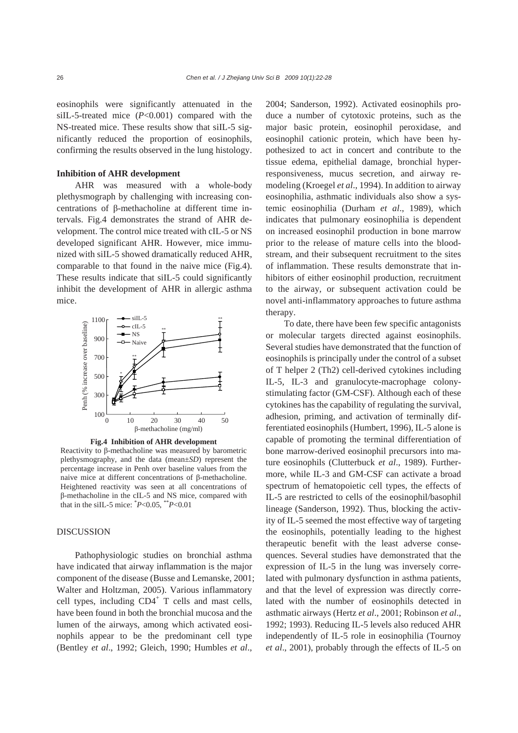eosinophils were significantly attenuated in the siIL-5-treated mice (*P*<0.001) compared with the NS-treated mice. These results show that siIL-5 significantly reduced the proportion of eosinophils, confirming the results observed in the lung histology.

#### **Inhibition of AHR development**

AHR was measured with a whole-body plethysmograph by challenging with increasing concentrations of β-methacholine at different time intervals. Fig.4 demonstrates the strand of AHR development. The control mice treated with cIL-5 or NS developed significant AHR. However, mice immunized with siIL-5 showed dramatically reduced AHR, comparable to that found in the naive mice (Fig.4). These results indicate that siIL-5 could significantly inhibit the development of AHR in allergic asthma mice.



**Fig.4 Inhibition of AHR development** Reactivity to β-methacholine was measured by barometric plethysmography, and the data (mean±*SD*) represent the percentage increase in Penh over baseline values from the naive mice at different concentrations of β-methacholine. Heightened reactivity was seen at all concentrations of β-methacholine in the cIL-5 and NS mice, compared with

that in the siIL-5 mice:  $P<0.05$ ,  $^{*}P<0.01$ 

#### DISCUSSION

Pathophysiologic studies on bronchial asthma have indicated that airway inflammation is the major component of the disease (Busse and Lemanske, 2001; Walter and Holtzman, 2005). Various inflammatory cell types, including  $CD4^+$  T cells and mast cells, have been found in both the bronchial mucosa and the lumen of the airways, among which activated eosinophils appear to be the predominant cell type (Bentley *et al*., 1992; Gleich, 1990; Humbles *et al*.,

2004; Sanderson, 1992). Activated eosinophils produce a number of cytotoxic proteins, such as the major basic protein, eosinophil peroxidase, and eosinophil cationic protein, which have been hypothesized to act in concert and contribute to the tissue edema, epithelial damage, bronchial hyperresponsiveness, mucus secretion, and airway remodeling (Kroegel *et al*., 1994). In addition to airway eosinophilia, asthmatic individuals also show a systemic eosinophilia (Durham *et al*., 1989), which indicates that pulmonary eosinophilia is dependent on increased eosinophil production in bone marrow prior to the release of mature cells into the bloodstream, and their subsequent recruitment to the sites of inflammation. These results demonstrate that inhibitors of either eosinophil production, recruitment to the airway, or subsequent activation could be novel anti-inflammatory approaches to future asthma therapy.

To date, there have been few specific antagonists or molecular targets directed against eosinophils. Several studies have demonstrated that the function of eosinophils is principally under the control of a subset of T helper 2 (Th2) cell-derived cytokines including IL-5, IL-3 and granulocyte-macrophage colonystimulating factor (GM-CSF). Although each of these cytokines has the capability of regulating the survival, adhesion, priming, and activation of terminally differentiated eosinophils (Humbert, 1996), IL-5 alone is capable of promoting the terminal differentiation of bone marrow-derived eosinophil precursors into mature eosinophils (Clutterbuck *et al*., 1989). Furthermore, while IL-3 and GM-CSF can activate a broad spectrum of hematopoietic cell types, the effects of IL-5 are restricted to cells of the eosinophil/basophil lineage (Sanderson, 1992). Thus, blocking the activity of IL-5 seemed the most effective way of targeting the eosinophils, potentially leading to the highest therapeutic benefit with the least adverse consequences. Several studies have demonstrated that the expression of IL-5 in the lung was inversely correlated with pulmonary dysfunction in asthma patients, and that the level of expression was directly correlated with the number of eosinophils detected in asthmatic airways (Hertz *et al*., 2001; Robinson *et al*., 1992; 1993). Reducing IL-5 levels also reduced AHR independently of IL-5 role in eosinophilia (Tournoy *et al*., 2001), probably through the effects of IL-5 on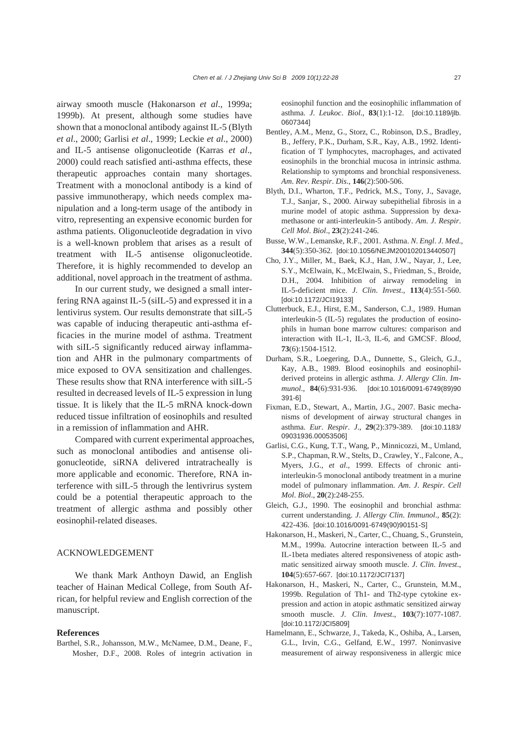airway smooth muscle (Hakonarson *et al*., 1999a; 1999b). At present, although some studies have shown that a monoclonal antibody against IL-5 (Blyth *et al*., 2000; Garlisi *et al*., 1999; Leckie *et al*., 2000) and IL-5 antisense oligonucleotide (Karras *et al*., 2000) could reach satisfied anti-asthma effects, these therapeutic approaches contain many shortages. Treatment with a monoclonal antibody is a kind of passive immunotherapy, which needs complex manipulation and a long-term usage of the antibody in vitro, representing an expensive economic burden for asthma patients. Oligonucleotide degradation in vivo is a well-known problem that arises as a result of treatment with IL-5 antisense oligonucleotide. Therefore, it is highly recommended to develop an additional, novel approach in the treatment of asthma.

In our current study, we designed a small interfering RNA against IL-5 (siIL-5) and expressed it in a lentivirus system. Our results demonstrate that siIL-5 was capable of inducing therapeutic anti-asthma efficacies in the murine model of asthma. Treatment with siIL-5 significantly reduced airway inflammation and AHR in the pulmonary compartments of mice exposed to OVA sensitization and challenges. These results show that RNA interference with siIL-5 resulted in decreased levels of IL-5 expression in lung tissue. It is likely that the IL-5 mRNA knock-down reduced tissue infiltration of eosinophils and resulted in a remission of inflammation and AHR.

Compared with current experimental approaches, such as monoclonal antibodies and antisense oligonucleotide, siRNA delivered intratracheally is more applicable and economic. Therefore, RNA interference with siIL-5 through the lentivrirus system could be a potential therapeutic approach to the treatment of allergic asthma and possibly other eosinophil-related diseases.

# ACKNOWLEDGEMENT

We thank Mark Anthoyn Dawid, an English teacher of Hainan Medical College, from South African, for helpful review and English correction of the manuscript.

#### **References**

Barthel, S.R., Johansson, M.W., McNamee, D.M., Deane, F., Mosher, D.F., 2008. Roles of integrin activation in eosinophil function and the eosinophilic inflammation of asthma. *J*. *Leukoc*. *Biol*., **83**(1):1-12. [doi:10.1189/jlb. 0607344]

- Bentley, A.M., Menz, G., Storz, C., Robinson, D.S., Bradley, B., Jeffery, P.K., Durham, S.R., Kay, A.B., 1992. Identification of T lymphocytes, macrophages, and activated eosinophils in the bronchial mucosa in intrinsic asthma. Relationship to symptoms and bronchial responsiveness. *Am*. *Rev*. *Respir*. *Dis*., **146**(2):500-506.
- Blyth, D.I., Wharton, T.F., Pedrick, M.S., Tony, J., Savage, T.J., Sanjar, S., 2000. Airway subepithelial fibrosis in a murine model of atopic asthma. Suppression by dexamethasone or anti-interleukin-5 antibody. *Am*. *J*. *Respir*. *Cell Mol*. *Biol*., **23**(2):241-246.
- Busse, W.W., Lemanske, R.F., 2001. Asthma. *N*. *Engl*. *J*. *Med*., **344**(5):350-362. [doi:10.1056/NEJM200102013440507]
- Cho, J.Y., Miller, M., Baek, K.J., Han, J.W., Nayar, J., Lee, S.Y., McElwain, K., McElwain, S., Friedman, S., Broide, D.H., 2004. Inhibition of airway remodeling in IL-5-deficient mice. *J*. *Clin*. *Invest*., **113**(4):551-560. [doi:10.1172/JCI19133]
- Clutterbuck, E.J., Hirst, E.M., Sanderson, C.J., 1989. Human interleukin-5 (IL-5) regulates the production of eosinophils in human bone marrow cultures: comparison and interaction with IL-1, IL-3, IL-6, and GMCSF. *Blood*, **73**(6):1504-1512.
- Durham, S.R., Loegering, D.A., Dunnette, S., Gleich, G.J., Kay, A.B., 1989. Blood eosinophils and eosinophilderived proteins in allergic asthma. *J*. *Allergy Clin*. *Immunol*., **84**(6):931-936. [doi:10.1016/0091-6749(89)90 391-6]
- Fixman, E.D., Stewart, A., Martin, J.G., 2007. Basic mechanisms of development of airway structural changes in asthma. *Eur*. *Respir*. *J*., **29**(2):379-389. [doi:10.1183/ 09031936.00053506]
- Garlisi, C.G., Kung, T.T., Wang, P., Minnicozzi, M., Umland, S.P., Chapman, R.W., Stelts, D., Crawley, Y., Falcone, A., Myers, J.G., *et al*., 1999. Effects of chronic antiinterleukin-5 monoclonal antibody treatment in a murine model of pulmonary inflammation. *Am*. *J*. *Respir*. *Cell Mol*. *Biol*., **20**(2):248-255.
- Gleich, G.J., 1990. The eosinophil and bronchial asthma: current understanding. *J*. *Allergy Clin*. *Immunol*., **85**(2): 422-436. [doi:10.1016/0091-6749(90)90151-S]
- Hakonarson, H., Maskeri, N., Carter, C., Chuang, S., Grunstein, M.M., 1999a. Autocrine interaction between IL-5 and IL-1beta mediates altered responsiveness of atopic asthmatic sensitized airway smooth muscle. *J*. *Clin*. *Invest*., **104**(5):657-667. [doi:10.1172/JCI7137]
- Hakonarson, H., Maskeri, N., Carter, C., Grunstein, M.M., 1999b. Regulation of Th1- and Th2-type cytokine expression and action in atopic asthmatic sensitized airway smooth muscle. *J*. *Clin*. *Invest*., **103**(7):1077-1087. [doi:10.1172/JCI5809]
- Hamelmann, E., Schwarze, J., Takeda, K., Oshiba, A., Larsen, G.L., Irvin, C.G., Gelfand, E.W., 1997. Noninvasive measurement of airway responsiveness in allergic mice